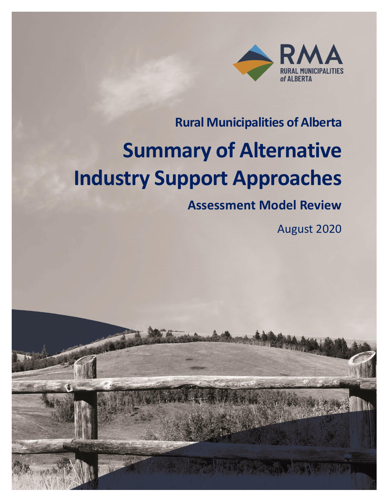

# **Rural Municipalities of Alberta**

# **Summary of Alternative Industry Support Approaches**

# **Assessment Model Review**

August 2020

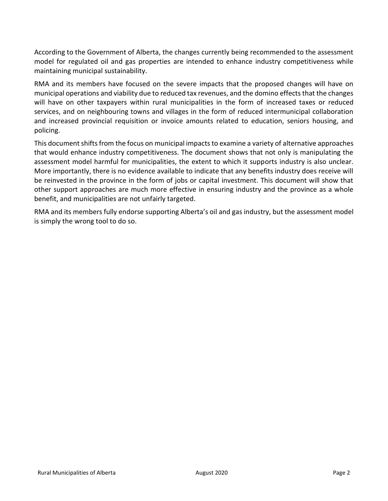According to the Government of Alberta, the changes currently being recommended to the assessment model for regulated oil and gas properties are intended to enhance industry competitiveness while maintaining municipal sustainability.

RMA and its members have focused on the severe impacts that the proposed changes will have on municipal operations and viability due to reduced tax revenues, and the domino effects that the changes will have on other taxpayers within rural municipalities in the form of increased taxes or reduced services, and on neighbouring towns and villages in the form of reduced intermunicipal collaboration and increased provincial requisition or invoice amounts related to education, seniors housing, and policing.

This document shifts from the focus on municipal impacts to examine a variety of alternative approaches that would enhance industry competitiveness. The document shows that not only is manipulating the assessment model harmful for municipalities, the extent to which it supports industry is also unclear. More importantly, there is no evidence available to indicate that any benefits industry does receive will be reinvested in the province in the form of jobs or capital investment. This document will show that other support approaches are much more effective in ensuring industry and the province as a whole benefit, and municipalities are not unfairly targeted.

RMA and its members fully endorse supporting Alberta's oil and gas industry, but the assessment model is simply the wrong tool to do so.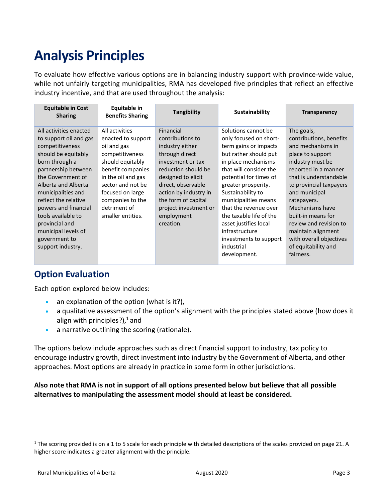# **Analysis Principles**

To evaluate how effective various options are in balancing industry support with province-wide value, while not unfairly targeting municipalities, RMA has developed five principles that reflect an effective industry incentive, and that are used throughout the analysis:

| <b>Equitable in Cost</b><br><b>Sharing</b>                                                                                                                                                                                                                                                                                                                 | Equitable in<br><b>Benefits Sharing</b>                                                                                                                                                                                                 | <b>Tangibility</b>                                                                                                                                                                                                                                             | <b>Sustainability</b>                                                                                                                                                                                                                                                                                                                                                                                 | <b>Transparency</b>                                                                                                                                                                                                                                                                                                                                                     |
|------------------------------------------------------------------------------------------------------------------------------------------------------------------------------------------------------------------------------------------------------------------------------------------------------------------------------------------------------------|-----------------------------------------------------------------------------------------------------------------------------------------------------------------------------------------------------------------------------------------|----------------------------------------------------------------------------------------------------------------------------------------------------------------------------------------------------------------------------------------------------------------|-------------------------------------------------------------------------------------------------------------------------------------------------------------------------------------------------------------------------------------------------------------------------------------------------------------------------------------------------------------------------------------------------------|-------------------------------------------------------------------------------------------------------------------------------------------------------------------------------------------------------------------------------------------------------------------------------------------------------------------------------------------------------------------------|
| All activities enacted<br>to support oil and gas<br>competitiveness<br>should be equitably<br>born through a<br>partnership between<br>the Government of<br>Alberta and Alberta<br>municipalities and<br>reflect the relative<br>powers and financial<br>tools available to<br>provincial and<br>municipal levels of<br>government to<br>support industry. | All activities<br>enacted to support<br>oil and gas<br>competitiveness<br>should equitably<br>benefit companies<br>in the oil and gas<br>sector and not be<br>focused on large<br>companies to the<br>detriment of<br>smaller entities. | Financial<br>contributions to<br>industry either<br>through direct<br>investment or tax<br>reduction should be<br>designed to elicit<br>direct, observable<br>action by industry in<br>the form of capital<br>project investment or<br>employment<br>creation. | Solutions cannot be<br>only focused on short-<br>term gains or impacts<br>but rather should put<br>in place mechanisms<br>that will consider the<br>potential for times of<br>greater prosperity.<br>Sustainability to<br>municipalities means<br>that the revenue over<br>the taxable life of the<br>asset justifies local<br>infrastructure<br>investments to support<br>industrial<br>development. | The goals,<br>contributions, benefits<br>and mechanisms in<br>place to support<br>industry must be<br>reported in a manner<br>that is understandable<br>to provincial taxpayers<br>and municipal<br>ratepayers.<br>Mechanisms have<br>built-in means for<br>review and revision to<br>maintain alignment<br>with overall objectives<br>of equitability and<br>fairness. |
|                                                                                                                                                                                                                                                                                                                                                            |                                                                                                                                                                                                                                         |                                                                                                                                                                                                                                                                |                                                                                                                                                                                                                                                                                                                                                                                                       |                                                                                                                                                                                                                                                                                                                                                                         |

# **Option Evaluation**

Each option explored below includes:

- an explanation of the option (what is it?),
- a qualitative assessment of the option's alignment with the principles stated above (how does it align with principles?), <sup>1</sup> and
- a narrative outlining the scoring (rationale).

The options below include approaches such as direct financial support to industry, tax policy to encourage industry growth, direct investment into industry by the Government of Alberta, and other approaches. Most options are already in practice in some form in other jurisdictions.

# **Also note that RMA is not in support of all options presented below but believe that all possible alternatives to manipulating the assessment model should at least be considered.**

 $1$  The scoring provided is on a 1 to 5 scale for each principle with detailed descriptions of the scales provided on page 21. A higher score indicates a greater alignment with the principle.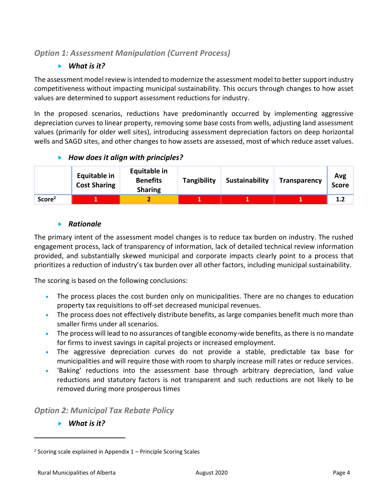# *Option 1: Assessment Manipulation (Current Process)*

# *What is it?*

The assessment model review is intended to modernize the assessment model to better support industry competitiveness without impacting municipal sustainability. This occurs through changes to how asset values are determined to support assessment reductions for industry.

In the proposed scenarios, reductions have predominantly occurred by implementing aggressive depreciation curves to linear property, removing some base costs from wells, adjusting land assessment values (primarily for older well sites), introducing assessment depreciation factors on deep horizontal wells and SAGD sites, and other changes to how assets are assessed, most of which reduce asset values.

# *How does it align with principles?*

|                    | <b>Equitable in</b><br><b>Cost Sharing</b> | <b>Equitable in</b><br><b>Benefits</b><br><b>Sharing</b> | Tangibility | Sustainability | <b>Transparency</b> | Avg<br>Score |
|--------------------|--------------------------------------------|----------------------------------------------------------|-------------|----------------|---------------------|--------------|
| Score <sup>2</sup> |                                            |                                                          |             |                |                     | 1.2          |

# *Rationale*

The primary intent of the assessment model changes is to reduce tax burden on industry. The rushed engagement process, lack of transparency of information, lack of detailed technical review information provided, and substantially skewed municipal and corporate impacts clearly point to a process that prioritizes a reduction of industry's tax burden over all other factors, including municipal sustainability.

The scoring is based on the following conclusions:

- The process places the cost burden only on municipalities. There are no changes to education property tax requisitions to off-set decreased municipal revenues.
- The process does not effectively distribute benefits, as large companies benefit much more than smaller firms under all scenarios.
- The process will lead to no assurances of tangible economy-wide benefits, as there is no mandate for firms to invest savings in capital projects or increased employment.
- The aggressive depreciation curves do not provide a stable, predictable tax base for municipalities and will require those with room to sharply increase mill rates or reduce services.
- 'Baking' reductions into the assessment base through arbitrary depreciation, land value reductions and statutory factors is not transparent and such reductions are not likely to be removed during more prosperous times

*Option 2: Municipal Tax Rebate Policy* 

*What is it?*

 $2$  Scoring scale explained in Appendix  $1$  – Principle Scoring Scales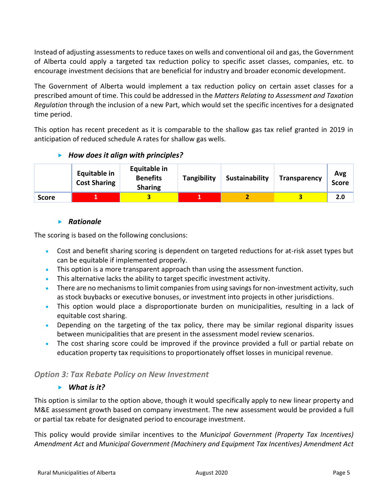Instead of adjusting assessments to reduce taxes on wells and conventional oil and gas, the Government of Alberta could apply a targeted tax reduction policy to specific asset classes, companies, etc. to encourage investment decisions that are beneficial for industry and broader economic development.

The Government of Alberta would implement a tax reduction policy on certain asset classes for a prescribed amount of time. This could be addressed in the *Matters Relating to Assessment and Taxation Regulation* through the inclusion of a new Part, which would set the specific incentives for a designated time period.

This option has recent precedent as it is comparable to the shallow gas tax relief granted in 2019 in anticipation of reduced schedule A rates for shallow gas wells.

# *How does it align with principles?*

|              | <b>Equitable in</b><br><b>Cost Sharing</b> | Equitable in<br><b>Benefits</b><br><b>Sharing</b> | <b>Tangibility</b> | Sustainability | <b>Transparency</b> | Avg<br>Score |
|--------------|--------------------------------------------|---------------------------------------------------|--------------------|----------------|---------------------|--------------|
| <b>Score</b> |                                            |                                                   |                    |                |                     | 2.0          |

# **Rationale**

The scoring is based on the following conclusions:

- Cost and benefit sharing scoring is dependent on targeted reductions for at-risk asset types but can be equitable if implemented properly.
- This option is a more transparent approach than using the assessment function.
- This alternative lacks the ability to target specific investment activity.
- There are no mechanisms to limit companies from using savings for non-investment activity, such as stock buybacks or executive bonuses, or investment into projects in other jurisdictions.
- This option would place a disproportionate burden on municipalities, resulting in a lack of equitable cost sharing.
- Depending on the targeting of the tax policy, there may be similar regional disparity issues between municipalities that are present in the assessment model review scenarios.
- The cost sharing score could be improved if the province provided a full or partial rebate on education property tax requisitions to proportionately offset losses in municipal revenue.

# *Option 3: Tax Rebate Policy on New Investment*

# *What is it?*

This option is similar to the option above, though it would specifically apply to new linear property and M&E assessment growth based on company investment. The new assessment would be provided a full or partial tax rebate for designated period to encourage investment.

This policy would provide similar incentives to the *Municipal Government (Property Tax Incentives) Amendment Act* and *Municipal Government (Machinery and Equipment Tax Incentives) Amendment Act*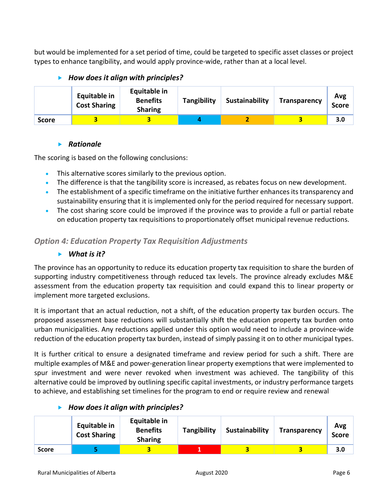but would be implemented for a set period of time, could be targeted to specific asset classes or project types to enhance tangibility, and would apply province-wide, rather than at a local level.

# *How does it align with principles?*

|              | <b>Equitable in</b><br><b>Cost Sharing</b> | <b>Equitable in</b><br><b>Benefits</b><br><b>Sharing</b> | Tangibility | Sustainability | <b>Transparency</b> | Avg<br><b>Score</b> |
|--------------|--------------------------------------------|----------------------------------------------------------|-------------|----------------|---------------------|---------------------|
| <b>Score</b> |                                            |                                                          |             |                |                     | 3.0                 |

# *Rationale*

The scoring is based on the following conclusions:

- This alternative scores similarly to the previous option.
- The difference is that the tangibility score is increased, as rebates focus on new development.
- The establishment of a specific timeframe on the initiative further enhances its transparency and sustainability ensuring that it is implemented only for the period required for necessary support.
- The cost sharing score could be improved if the province was to provide a full or partial rebate on education property tax requisitions to proportionately offset municipal revenue reductions.

# *Option 4: Education Property Tax Requisition Adjustments*

# *What is it?*

The province has an opportunity to reduce its education property tax requisition to share the burden of supporting industry competitiveness through reduced tax levels. The province already excludes M&E assessment from the education property tax requisition and could expand this to linear property or implement more targeted exclusions.

It is important that an actual reduction, not a shift, of the education property tax burden occurs. The proposed assessment base reductions will substantially shift the education property tax burden onto urban municipalities. Any reductions applied under this option would need to include a province-wide reduction of the education property tax burden, instead of simply passing it on to other municipal types.

It is further critical to ensure a designated timeframe and review period for such a shift. There are multiple examples of M&E and power-generation linear property exemptions that were implemented to spur investment and were never revoked when investment was achieved. The tangibility of this alternative could be improved by outlining specific capital investments, or industry performance targets to achieve, and establishing set timelines for the program to end or require review and renewal

# *How does it align with principles?*

|              | <b>Equitable in</b><br><b>Cost Sharing</b> | Equitable in<br><b>Benefits</b><br><b>Sharing</b> | <b>Tangibility</b> | Sustainability | <b>Transparency</b> | Avg<br><b>Score</b> |
|--------------|--------------------------------------------|---------------------------------------------------|--------------------|----------------|---------------------|---------------------|
| <b>Score</b> |                                            |                                                   |                    |                |                     | 3.0                 |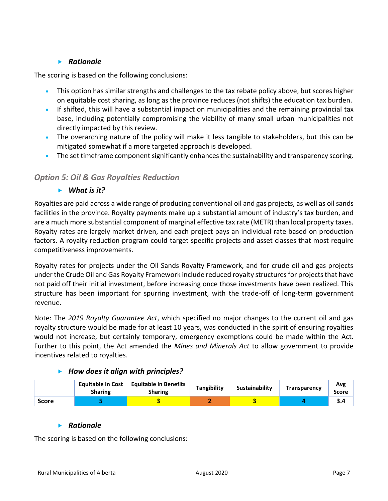# *Rationale*

The scoring is based on the following conclusions:

- This option has similar strengths and challenges to the tax rebate policy above, but scores higher on equitable cost sharing, as long as the province reduces (not shifts) the education tax burden.
- If shifted, this will have a substantial impact on municipalities and the remaining provincial tax base, including potentially compromising the viability of many small urban municipalities not directly impacted by this review.
- The overarching nature of the policy will make it less tangible to stakeholders, but this can be mitigated somewhat if a more targeted approach is developed.
- The set timeframe component significantly enhances the sustainability and transparency scoring.

# *Option 5: Oil & Gas Royalties Reduction*

# *What is it?*

Royalties are paid across a wide range of producing conventional oil and gas projects, as well as oil sands facilities in the province. Royalty payments make up a substantial amount of industry's tax burden, and are a much more substantial component of marginal effective tax rate (METR) than local property taxes. Royalty rates are largely market driven, and each project pays an individual rate based on production factors. A royalty reduction program could target specific projects and asset classes that most require competitiveness improvements.

Royalty rates for projects under the Oil Sands Royalty Framework, and for crude oil and gas projects under the Crude Oil and Gas Royalty Framework include reduced royalty structures for projects that have not paid off their initial investment, before increasing once those investments have been realized. This structure has been important for spurring investment, with the trade-off of long-term government revenue.

Note: The *2019 Royalty Guarantee Act*, which specified no major changes to the current oil and gas royalty structure would be made for at least 10 years, was conducted in the spirit of ensuring royalties would not increase, but certainly temporary, emergency exemptions could be made within the Act. Further to this point, the Act amended the *Mines and Minerals Act* to allow government to provide incentives related to royalties.

|       | <b>Equitable in Cost</b><br><b>Sharing</b> | <b>Equitable in Benefits</b><br><b>Sharing</b> | Tangibility | Sustainability | <b>Transparency</b> | Avg<br>Score |
|-------|--------------------------------------------|------------------------------------------------|-------------|----------------|---------------------|--------------|
| Score |                                            |                                                |             |                |                     | 5.4          |

# *How does it align with principles?*

#### *Rationale*

The scoring is based on the following conclusions: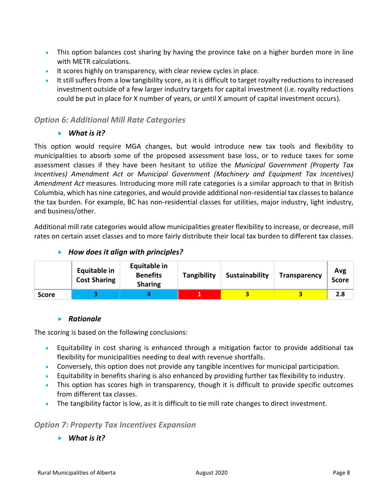- This option balances cost sharing by having the province take on a higher burden more in line with METR calculations.
- It scores highly on transparency, with clear review cycles in place.
- It still suffers from a low tangibility score, as it is difficult to target royalty reductions to increased investment outside of a few larger industry targets for capital investment (i.e. royalty reductions could be put in place for X number of years, or until X amount of capital investment occurs).

# *Option 6: Additional Mill Rate Categories*

*What is it?*

This option would require MGA changes, but would introduce new tax tools and flexibility to municipalities to absorb some of the proposed assessment base loss, or to reduce taxes for some assessment classes if they have been hesitant to utilize the *Municipal Government (Property Tax Incentives) Amendment Act* or *Municipal Government (Machinery and Equipment Tax Incentives) Amendment Act* measures. Introducing more mill rate categories is a similar approach to that in British Columbia, which has nine categories, and would provide additional non-residential tax classes to balance the tax burden. For example, BC has non-residential classes for utilities, major industry, light industry, and business/other.

Additional mill rate categories would allow municipalities greater flexibility to increase, or decrease, mill rates on certain asset classes and to more fairly distribute their local tax burden to different tax classes.

# *How does it align with principles?*

|              | <b>Equitable in</b><br><b>Cost Sharing</b> | <b>Equitable in</b><br><b>Benefits</b><br><b>Sharing</b> | Tangibility | Sustainability | <b>Transparency</b> | Avg<br><b>Score</b> |
|--------------|--------------------------------------------|----------------------------------------------------------|-------------|----------------|---------------------|---------------------|
| <b>Score</b> |                                            |                                                          | . .         | 2              |                     | 2.8                 |

#### **Rationale**

The scoring is based on the following conclusions:

- Equitability in cost sharing is enhanced through a mitigation factor to provide additional tax flexibility for municipalities needing to deal with revenue shortfalls.
- Conversely, this option does not provide any tangible incentives for municipal participation.
- Equitability in benefits sharing is also enhanced by providing further tax flexibility to industry.
- This option has scores high in transparency, though it is difficult to provide specific outcomes from different tax classes.
- The tangibility factor is low, as it is difficult to tie mill rate changes to direct investment.

# *Option 7: Property Tax Incentives Expansion*

*What is it?*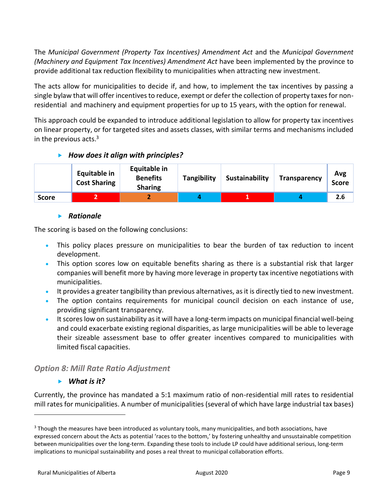The *Municipal Government (Property Tax Incentives) Amendment Act* and the *Municipal Government (Machinery and Equipment Tax Incentives) Amendment Act* have been implemented by the province to provide additional tax reduction flexibility to municipalities when attracting new investment.

The acts allow for municipalities to decide if, and how, to implement the tax incentives by passing a single bylaw that will offer incentives to reduce, exempt or defer the collection of property taxes for nonresidential and machinery and equipment properties for up to 15 years, with the option for renewal.

This approach could be expanded to introduce additional legislation to allow for property tax incentives on linear property, or for targeted sites and assets classes, with similar terms and mechanisms included in the previous acts. $3$ 

# *How does it align with principles?*

|              | <b>Equitable in</b><br><b>Cost Sharing</b> | Equitable in<br><b>Benefits</b><br><b>Sharing</b> | <b>Tangibility</b> | Sustainability | <b>Transparency</b> | Avg<br>Score |
|--------------|--------------------------------------------|---------------------------------------------------|--------------------|----------------|---------------------|--------------|
| <b>Score</b> |                                            |                                                   |                    |                |                     | 2.6          |

# *Rationale*

The scoring is based on the following conclusions:

- This policy places pressure on municipalities to bear the burden of tax reduction to incent development.
- This option scores low on equitable benefits sharing as there is a substantial risk that larger companies will benefit more by having more leverage in property tax incentive negotiations with municipalities.
- It provides a greater tangibility than previous alternatives, as it is directly tied to new investment.
- The option contains requirements for municipal council decision on each instance of use, providing significant transparency.
- Itscores low on sustainability as it will have a long-term impacts on municipal financial well-being and could exacerbate existing regional disparities, as large municipalities will be able to leverage their sizeable assessment base to offer greater incentives compared to municipalities with limited fiscal capacities.

# *Option 8: Mill Rate Ratio Adjustment*

# *What is it?*

Currently, the province has mandated a 5:1 maximum ratio of non-residential mill rates to residential mill rates for municipalities. A number of municipalities (several of which have large industrial tax bases)

<sup>&</sup>lt;sup>3</sup> Though the measures have been introduced as voluntary tools, many municipalities, and both associations, have expressed concern about the Acts as potential 'races to the bottom,' by fostering unhealthy and unsustainable competition between municipalities over the long-term. Expanding these tools to include LP could have additional serious, long-term implications to municipal sustainability and poses a real threat to municipal collaboration efforts.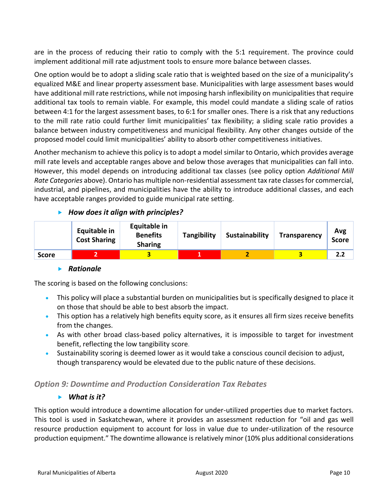are in the process of reducing their ratio to comply with the 5:1 requirement. The province could implement additional mill rate adjustment tools to ensure more balance between classes.

One option would be to adopt a sliding scale ratio that is weighted based on the size of a municipality's equalized M&E and linear property assessment base. Municipalities with large assessment bases would have additional mill rate restrictions, while not imposing harsh inflexibility on municipalities that require additional tax tools to remain viable. For example, this model could mandate a sliding scale of ratios between 4:1 for the largest assessment bases, to 6:1 for smaller ones. There is a risk that any reductions to the mill rate ratio could further limit municipalities' tax flexibility; a sliding scale ratio provides a balance between industry competitiveness and municipal flexibility. Any other changes outside of the proposed model could limit municipalities' ability to absorb other competitiveness initiatives.

Another mechanism to achieve this policy is to adopt a model similar to Ontario, which provides average mill rate levels and acceptable ranges above and below those averages that municipalities can fall into. However, this model depends on introducing additional tax classes (see policy option *Additional Mill Rate Categories* above). Ontario has multiple non-residential assessment tax rate classes for commercial, industrial, and pipelines, and municipalities have the ability to introduce additional classes, and each have acceptable ranges provided to guide municipal rate setting.

# *How does it align with principles?*

|              | <b>Equitable in</b><br><b>Cost Sharing</b> | <b>Equitable in</b><br><b>Benefits</b><br><b>Sharing</b> | <b>Tangibility</b> | Sustainability | <b>Transparency</b> | Avg<br><b>Score</b> |
|--------------|--------------------------------------------|----------------------------------------------------------|--------------------|----------------|---------------------|---------------------|
| <b>Score</b> |                                            |                                                          |                    |                |                     | 2.2                 |

# **Rationale**

The scoring is based on the following conclusions:

- This policy will place a substantial burden on municipalities but is specifically designed to place it on those that should be able to best absorb the impact.
- This option has a relatively high benefits equity score, as it ensures all firm sizes receive benefits from the changes.
- As with other broad class-based policy alternatives, it is impossible to target for investment benefit, reflecting the low tangibility score.
- Sustainability scoring is deemed lower as it would take a conscious council decision to adjust, though transparency would be elevated due to the public nature of these decisions.

# *Option 9: Downtime and Production Consideration Tax Rebates*

# *What is it?*

This option would introduce a downtime allocation for under-utilized properties due to market factors. This tool is used in Saskatchewan, where it provides an assessment reduction for "oil and gas well resource production equipment to account for loss in value due to under-utilization of the resource production equipment." The downtime allowance is relatively minor (10% plus additional considerations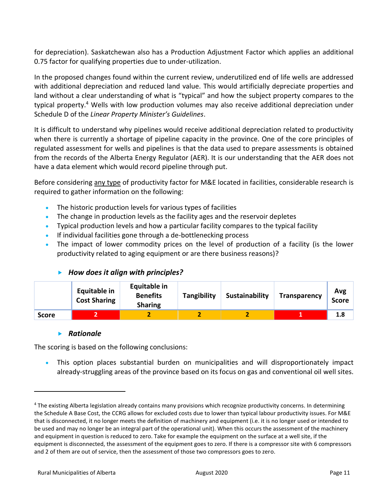for depreciation). Saskatchewan also has a Production Adjustment Factor which applies an additional 0.75 factor for qualifying properties due to under-utilization.

In the proposed changes found within the current review, underutilized end of life wells are addressed with additional depreciation and reduced land value. This would artificially depreciate properties and land without a clear understanding of what is "typical" and how the subject property compares to the typical property.<sup>4</sup> Wells with low production volumes may also receive additional depreciation under Schedule D of the *Linear Property Minister's Guidelines*.

It is difficult to understand why pipelines would receive additional depreciation related to productivity when there is currently a shortage of pipeline capacity in the province. One of the core principles of regulated assessment for wells and pipelines is that the data used to prepare assessments is obtained from the records of the Alberta Energy Regulator (AER). It is our understanding that the AER does not have a data element which would record pipeline through put.

Before considering any type of productivity factor for M&E located in facilities, considerable research is required to gather information on the following:

- The historic production levels for various types of facilities
- The change in production levels as the facility ages and the reservoir depletes
- Typical production levels and how a particular facility compares to the typical facility
- If individual facilities gone through a de-bottlenecking process
- The impact of lower commodity prices on the level of production of a facility (is the lower productivity related to aging equipment or are there business reasons)?

#### **Equitable in Cost Sharing Equitable in Benefits Sharing Tangibility Sustainability Transparency Avg Score Score 2 2 2 2 1 1.8**

# *How does it align with principles?*

#### *Rationale*

The scoring is based on the following conclusions:

• This option places substantial burden on municipalities and will disproportionately impact already-struggling areas of the province based on its focus on gas and conventional oil well sites.

<sup>4</sup> The existing Alberta legislation already contains many provisions which recognize productivity concerns. In determining the Schedule A Base Cost, the CCRG allows for excluded costs due to lower than typical labour productivity issues. For M&E that is disconnected, it no longer meets the definition of machinery and equipment (i.e. it is no longer used or intended to be used and may no longer be an integral part of the operational unit). When this occurs the assessment of the machinery and equipment in question is reduced to zero. Take for example the equipment on the surface at a well site, if the equipment is disconnected, the assessment of the equipment goes to zero. If there is a compressor site with 6 compressors and 2 of them are out of service, then the assessment of those two compressors goes to zero.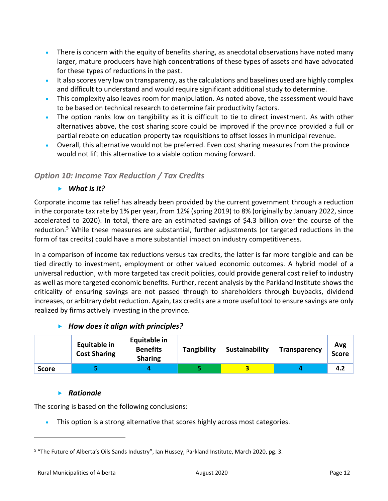- There is concern with the equity of benefits sharing, as anecdotal observations have noted many larger, mature producers have high concentrations of these types of assets and have advocated for these types of reductions in the past.
- It also scores very low on transparency, as the calculations and baselines used are highly complex and difficult to understand and would require significant additional study to determine.
- This complexity also leaves room for manipulation. As noted above, the assessment would have to be based on technical research to determine fair productivity factors.
- The option ranks low on tangibility as it is difficult to tie to direct investment. As with other alternatives above, the cost sharing score could be improved if the province provided a full or partial rebate on education property tax requisitions to offset losses in municipal revenue.
- Overall, this alternative would not be preferred. Even cost sharing measures from the province would not lift this alternative to a viable option moving forward.

# *Option 10: Income Tax Reduction / Tax Credits*

# *What is it?*

Corporate income tax relief has already been provided by the current government through a reduction in the corporate tax rate by 1% per year, from 12% (spring 2019) to 8% (originally by January 2022, since accelerated to 2020). In total, there are an estimated savings of \$4.3 billion over the course of the reduction.<sup>5</sup> While these measures are substantial, further adjustments (or targeted reductions in the form of tax credits) could have a more substantial impact on industry competitiveness.

In a comparison of income tax reductions versus tax credits, the latter is far more tangible and can be tied directly to investment, employment or other valued economic outcomes. A hybrid model of a universal reduction, with more targeted tax credit policies, could provide general cost relief to industry as well as more targeted economic benefits. Further, recent analysis by the Parkland Institute shows the criticality of ensuring savings are not passed through to shareholders through buybacks, dividend increases, or arbitrary debt reduction. Again, tax credits are a more useful tool to ensure savings are only realized by firms actively investing in the province.

# *How does it align with principles?*

|              | <b>Equitable in</b><br><b>Cost Sharing</b> | Equitable in<br><b>Benefits</b><br><b>Sharing</b> | <b>Tangibility</b> | Sustainability | Transparency | Avg<br><b>Score</b> |
|--------------|--------------------------------------------|---------------------------------------------------|--------------------|----------------|--------------|---------------------|
| <b>Score</b> |                                            |                                                   |                    |                |              | 4.2                 |

# *Rationale*

The scoring is based on the following conclusions:

• This option is a strong alternative that scores highly across most categories.

<sup>&</sup>lt;sup>5</sup> "The Future of Alberta's Oils Sands Industry", Ian Hussey, Parkland Institute, March 2020, pg. 3.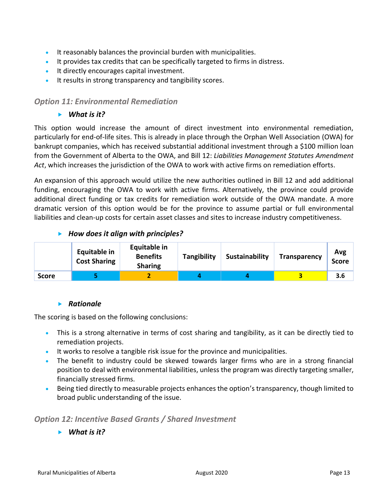- It reasonably balances the provincial burden with municipalities.
- It provides tax credits that can be specifically targeted to firms in distress.
- It directly encourages capital investment.
- It results in strong transparency and tangibility scores.

# *Option 11: Environmental Remediation*

# *What is it?*

This option would increase the amount of direct investment into environmental remediation, particularly for end-of-life sites. This is already in place through the Orphan Well Association (OWA) for bankrupt companies, which has received substantial additional investment through a \$100 million loan from the Government of Alberta to the OWA, and Bill 12: *Liabilities Management Statutes Amendment Act*, which increases the jurisdiction of the OWA to work with active firms on remediation efforts.

An expansion of this approach would utilize the new authorities outlined in Bill 12 and add additional funding, encouraging the OWA to work with active firms. Alternatively, the province could provide additional direct funding or tax credits for remediation work outside of the OWA mandate. A more dramatic version of this option would be for the province to assume partial or full environmental liabilities and clean-up costs for certain asset classes and sites to increase industry competitiveness.

# *How does it align with principles?*

|              | <b>Equitable in</b><br><b>Cost Sharing</b> | Equitable in<br><b>Benefits</b><br><b>Sharing</b> | Tangibility | Sustainability | <b>Transparency</b> | Avg<br><b>Score</b> |
|--------------|--------------------------------------------|---------------------------------------------------|-------------|----------------|---------------------|---------------------|
| <b>Score</b> |                                            |                                                   |             |                |                     | 3.6                 |

# *Rationale*

The scoring is based on the following conclusions:

- This is a strong alternative in terms of cost sharing and tangibility, as it can be directly tied to remediation projects.
- It works to resolve a tangible risk issue for the province and municipalities.
- The benefit to industry could be skewed towards larger firms who are in a strong financial position to deal with environmental liabilities, unless the program was directly targeting smaller, financially stressed firms.
- Being tied directly to measurable projects enhances the option's transparency, though limited to broad public understanding of the issue.

# *Option 12: Incentive Based Grants / Shared Investment*

*What is it?*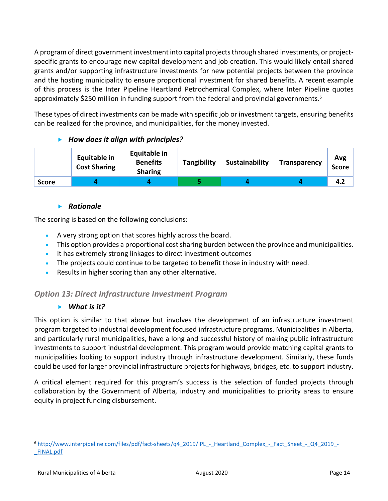A program of direct government investment into capital projects through shared investments, or projectspecific grants to encourage new capital development and job creation. This would likely entail shared grants and/or supporting infrastructure investments for new potential projects between the province and the hosting municipality to ensure proportional investment for shared benefits. A recent example of this process is the Inter Pipeline Heartland Petrochemical Complex, where Inter Pipeline quotes approximately \$250 million in funding support from the federal and provincial governments.<sup>6</sup>

These types of direct investments can be made with specific job or investment targets, ensuring benefits can be realized for the province, and municipalities, for the money invested.

# *How does it align with principles?*

|              | <b>Equitable in</b><br><b>Cost Sharing</b> | Equitable in<br><b>Benefits</b><br><b>Sharing</b> | Tangibility | Sustainability | <b>Transparency</b> | Avg<br>Score |
|--------------|--------------------------------------------|---------------------------------------------------|-------------|----------------|---------------------|--------------|
| <b>Score</b> |                                            |                                                   |             |                |                     | 4.2          |

# *Rationale*

The scoring is based on the following conclusions:

- A very strong option that scores highly across the board.
- This option provides a proportional cost sharing burden between the province and municipalities.
- It has extremely strong linkages to direct investment outcomes
- The projects could continue to be targeted to benefit those in industry with need.
- Results in higher scoring than any other alternative.

# *Option 13: Direct Infrastructure Investment Program*

# *What is it?*

This option is similar to that above but involves the development of an infrastructure investment program targeted to industrial development focused infrastructure programs. Municipalities in Alberta, and particularly rural municipalities, have a long and successful history of making public infrastructure investments to support industrial development. This program would provide matching capital grants to municipalities looking to support industry through infrastructure development. Similarly, these funds could be used for larger provincial infrastructure projects for highways, bridges, etc. to support industry.

A critical element required for this program's success is the selection of funded projects through collaboration by the Government of Alberta, industry and municipalities to priority areas to ensure equity in project funding disbursement.

<sup>6</sup> [http://www.interpipeline.com/files/pdf/fact-sheets/q4\\_2019/IPL\\_-\\_Heartland\\_Complex\\_-\\_Fact\\_Sheet\\_-\\_Q4\\_2019\\_-](http://www.interpipeline.com/files/pdf/fact-sheets/q4_2019/IPL_-_Heartland_Complex_-_Fact_Sheet_-_Q4_2019_-_FINAL.pdf) FINAL.pdf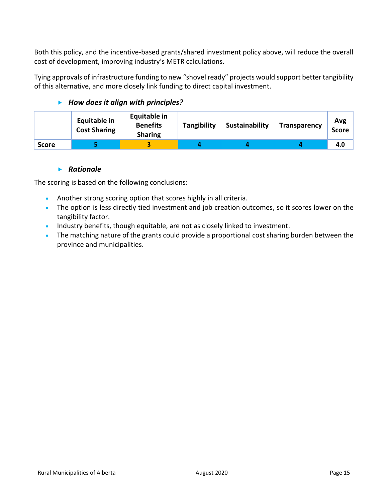Both this policy, and the incentive-based grants/shared investment policy above, will reduce the overall cost of development, improving industry's METR calculations.

Tying approvals of infrastructure funding to new "shovel ready" projects would support better tangibility of this alternative, and more closely link funding to direct capital investment.

# *How does it align with principles?*

|              | <b>Equitable in</b><br><b>Cost Sharing</b> | Equitable in<br><b>Benefits</b><br><b>Sharing</b> | Tangibility | Sustainability | <b>Transparency</b> | Avg<br><b>Score</b> |
|--------------|--------------------------------------------|---------------------------------------------------|-------------|----------------|---------------------|---------------------|
| <b>Score</b> |                                            |                                                   |             |                |                     | 4.0                 |

# *Rationale*

The scoring is based on the following conclusions:

- Another strong scoring option that scores highly in all criteria.
- The option is less directly tied investment and job creation outcomes, so it scores lower on the tangibility factor.
- Industry benefits, though equitable, are not as closely linked to investment.
- The matching nature of the grants could provide a proportional cost sharing burden between the province and municipalities.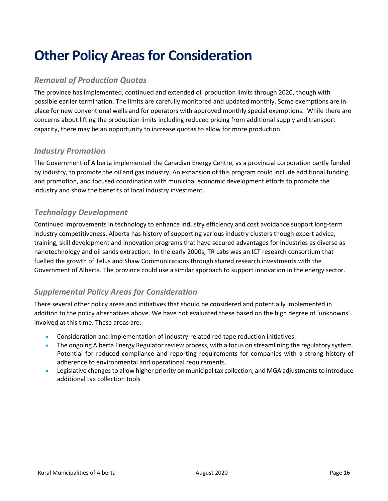# **Other Policy Areas for Consideration**

# *Removal of Production Quotas*

The province has implemented, continued and extended oil production limits through 2020, though with possible earlier termination. The limits are carefully monitored and updated monthly. Some exemptions are in place for new conventional wells and for operators with approved monthly special exemptions. While there are concerns about lifting the production limits including reduced pricing from additional supply and transport capacity, there may be an opportunity to increase quotas to allow for more production.

# *Industry Promotion*

The Government of Alberta implemented the Canadian Energy Centre, as a provincial corporation partly funded by industry, to promote the oil and gas industry. An expansion of this program could include additional funding and promotion, and focused coordination with municipal economic development efforts to promote the industry and show the benefits of local industry investment.

# *Technology Development*

Continued improvements in technology to enhance industry efficiency and cost avoidance support long-term industry competitiveness. Alberta has history of supporting various industry clusters though expert advice, training, skill development and innovation programs that have secured advantages for industries as diverse as nanotechnology and oil sands extraction. In the early 2000s, TR Labs was an ICT research consortium that fuelled the growth of Telus and Shaw Communications through shared research investments with the Government of Alberta. The province could use a similar approach to support innovation in the energy sector.

# *Supplemental Policy Areas for Consideration*

There several other policy areas and initiatives that should be considered and potentially implemented in addition to the policy alternatives above. We have not evaluated these based on the high degree of 'unknowns' involved at this time. These areas are:

- Consideration and implementation of industry-related red tape reduction initiatives.
- The ongoing Alberta Energy Regulator review process, with a focus on streamlining the regulatory system. Potential for reduced compliance and reporting requirements for companies with a strong history of adherence to environmental and operational requirements.
- Legislative changes to allow higher priority on municipal tax collection, and MGA adjustments to introduce additional tax collection tools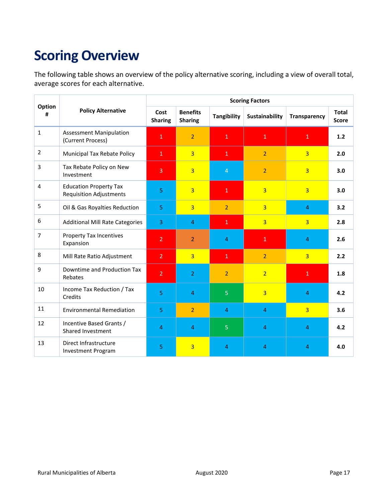# **Scoring Overview**

The following table shows an overview of the policy alternative scoring, including a view of overall total, average scores for each alternative.

|                |                                                                 | <b>Scoring Factors</b> |                                   |                    |                |                     |                              |  |
|----------------|-----------------------------------------------------------------|------------------------|-----------------------------------|--------------------|----------------|---------------------|------------------------------|--|
| Option<br>#    | <b>Policy Alternative</b>                                       | Cost<br><b>Sharing</b> | <b>Benefits</b><br><b>Sharing</b> | <b>Tangibility</b> | Sustainability | <b>Transparency</b> | <b>Total</b><br><b>Score</b> |  |
| $\mathbf{1}$   | <b>Assessment Manipulation</b><br>(Current Process)             | $\mathbf 1$            | $\overline{2}$                    | $\mathbf 1$        | $\mathbf{1}$   | $\mathbf{1}$        | 1.2                          |  |
| $\overline{2}$ | Municipal Tax Rebate Policy                                     | $\overline{1}$         | $\overline{3}$                    | $\mathbf{1}$       | $\overline{2}$ | $\overline{3}$      | 2.0                          |  |
| 3              | Tax Rebate Policy on New<br>Investment                          | 3                      | $\overline{3}$                    | $\overline{4}$     | $\overline{2}$ | $\overline{3}$      | 3.0                          |  |
| $\overline{4}$ | <b>Education Property Tax</b><br><b>Requisition Adjustments</b> | 5                      | $\overline{3}$                    | $\mathbf{1}$       | $\overline{3}$ | $\overline{3}$      | 3.0                          |  |
| 5              | Oil & Gas Royalties Reduction                                   | 5                      | $\overline{3}$                    | $\overline{2}$     | $\overline{3}$ | 4                   | 3.2                          |  |
| 6              | <b>Additional Mill Rate Categories</b>                          | 3                      | 4                                 | $\mathbf{1}$       | $\overline{3}$ | $\overline{3}$      | 2.8                          |  |
| $\overline{7}$ | Property Tax Incentives<br>Expansion                            | $\overline{2}$         | $\overline{2}$                    | 4                  | $\mathbf{1}$   | 4                   | 2.6                          |  |
| 8              | Mill Rate Ratio Adjustment                                      | $\overline{2}$         | $\overline{3}$                    | $\mathbf{1}$       | $\overline{2}$ | $\overline{3}$      | 2.2                          |  |
| 9              | Downtime and Production Tax<br>Rebates                          | $\overline{2}$         | $\overline{2}$                    | $\overline{2}$     | $\overline{2}$ | $\mathbf{1}$        | 1.8                          |  |
| 10             | Income Tax Reduction / Tax<br>Credits                           | 5                      | 4                                 | 5                  | $\overline{3}$ | 4                   | 4.2                          |  |
| 11             | <b>Environmental Remediation</b>                                | $\overline{5}$         | $\overline{2}$                    | $\overline{4}$     | $\overline{4}$ | $\overline{3}$      | 3.6                          |  |
| 12             | Incentive Based Grants /<br>Shared Investment                   | 4                      | 4                                 | 5                  | $\overline{4}$ | 4                   | 4.2                          |  |
| 13             | Direct Infrastructure<br><b>Investment Program</b>              | 5                      | 3                                 | 4                  | 4              | 4                   | 4.0                          |  |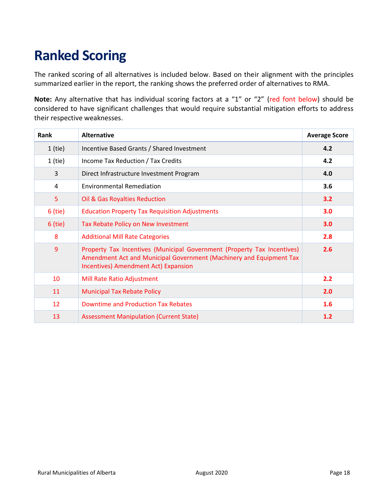# **Ranked Scoring**

The ranked scoring of all alternatives is included below. Based on their alignment with the principles summarized earlier in the report, the ranking shows the preferred order of alternatives to RMA.

**Note:** Any alternative that has individual scoring factors at a "1" or "2" (red font below) should be considered to have significant challenges that would require substantial mitigation efforts to address their respective weaknesses.

| Rank      | <b>Alternative</b>                                                                                                                                                                     | <b>Average Score</b> |
|-----------|----------------------------------------------------------------------------------------------------------------------------------------------------------------------------------------|----------------------|
| $1$ (tie) | Incentive Based Grants / Shared Investment                                                                                                                                             | 4.2                  |
| $1$ (tie) | Income Tax Reduction / Tax Credits                                                                                                                                                     | 4.2                  |
| 3         | Direct Infrastructure Investment Program                                                                                                                                               | 4.0                  |
| 4         | <b>Environmental Remediation</b>                                                                                                                                                       | 3.6                  |
| 5         | Oil & Gas Royalties Reduction                                                                                                                                                          | 3.2                  |
| $6$ (tie) | <b>Education Property Tax Requisition Adjustments</b>                                                                                                                                  | 3.0                  |
| $6$ (tie) | Tax Rebate Policy on New Investment                                                                                                                                                    | 3.0                  |
| 8         | <b>Additional Mill Rate Categories</b>                                                                                                                                                 | 2.8                  |
| 9         | Property Tax Incentives (Municipal Government (Property Tax Incentives)<br>Amendment Act and Municipal Government (Machinery and Equipment Tax<br>Incentives) Amendment Act) Expansion | 2.6                  |
| 10        | Mill Rate Ratio Adjustment                                                                                                                                                             | 2.2                  |
| 11        | <b>Municipal Tax Rebate Policy</b>                                                                                                                                                     | 2.0                  |
| 12        | <b>Downtime and Production Tax Rebates</b>                                                                                                                                             | 1.6                  |
| 13        | <b>Assessment Manipulation (Current State)</b>                                                                                                                                         | 1.2                  |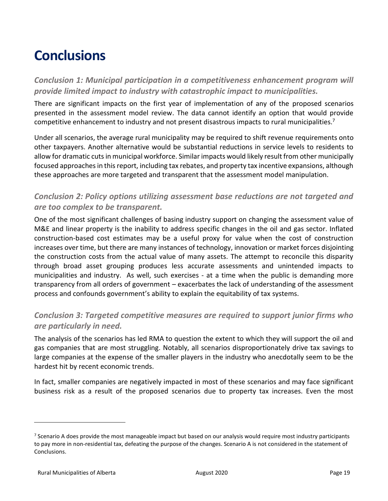# **Conclusions**

*Conclusion 1: Municipal participation in a competitiveness enhancement program will provide limited impact to industry with catastrophic impact to municipalities.*

There are significant impacts on the first year of implementation of any of the proposed scenarios presented in the assessment model review. The data cannot identify an option that would provide competitive enhancement to industry and not present disastrous impacts to rural municipalities.<sup>7</sup>

Under all scenarios, the average rural municipality may be required to shift revenue requirements onto other taxpayers. Another alternative would be substantial reductions in service levels to residents to allow for dramatic cuts in municipal workforce. Similar impacts would likely result from other municipally focused approaches in this report, including tax rebates, and property tax incentive expansions, although these approaches are more targeted and transparent that the assessment model manipulation.

# *Conclusion 2: Policy options utilizing assessment base reductions are not targeted and are too complex to be transparent.*

One of the most significant challenges of basing industry support on changing the assessment value of M&E and linear property is the inability to address specific changes in the oil and gas sector. Inflated construction-based cost estimates may be a useful proxy for value when the cost of construction increases over time, but there are many instances of technology, innovation or market forces disjointing the construction costs from the actual value of many assets. The attempt to reconcile this disparity through broad asset grouping produces less accurate assessments and unintended impacts to municipalities and industry. As well, such exercises - at a time when the public is demanding more transparency from all orders of government – exacerbates the lack of understanding of the assessment process and confounds government's ability to explain the equitability of tax systems.

# *Conclusion 3: Targeted competitive measures are required to support junior firms who are particularly in need.*

The analysis of the scenarios has led RMA to question the extent to which they will support the oil and gas companies that are most struggling. Notably, all scenarios disproportionately drive tax savings to large companies at the expense of the smaller players in the industry who anecdotally seem to be the hardest hit by recent economic trends.

In fact, smaller companies are negatively impacted in most of these scenarios and may face significant business risk as a result of the proposed scenarios due to property tax increases. Even the most

<sup>&</sup>lt;sup>7</sup> Scenario A does provide the most manageable impact but based on our analysis would require most industry participants to pay more in non-residential tax, defeating the purpose of the changes. Scenario A is not considered in the statement of Conclusions.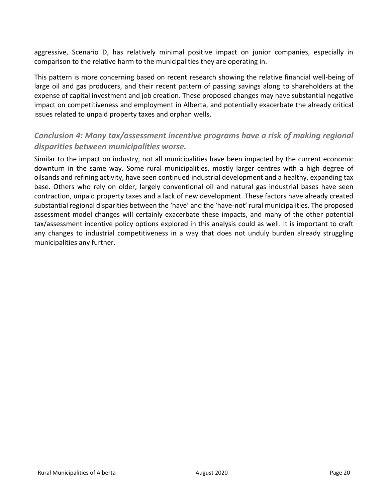aggressive, Scenario D, has relatively minimal positive impact on junior companies, especially in comparison to the relative harm to the municipalities they are operating in.

This pattern is more concerning based on recent research showing the relative financial well-being of large oil and gas producers, and their recent pattern of passing savings along to shareholders at the expense of capital investment and job creation. These proposed changes may have substantial negative impact on competitiveness and employment in Alberta, and potentially exacerbate the already critical issues related to unpaid property taxes and orphan wells.

# *Conclusion 4: Many tax/assessment incentive programs have a risk of making regional disparities between municipalities worse.*

Similar to the impact on industry, not all municipalities have been impacted by the current economic downturn in the same way. Some rural municipalities, mostly larger centres with a high degree of oilsands and refining activity, have seen continued industrial development and a healthy, expanding tax base. Others who rely on older, largely conventional oil and natural gas industrial bases have seen contraction, unpaid property taxes and a lack of new development. These factors have already created substantial regional disparities between the 'have' and the 'have-not' rural municipalities. The proposed assessment model changes will certainly exacerbate these impacts, and many of the other potential tax/assessment incentive policy options explored in this analysis could as well. It is important to craft any changes to industrial competitiveness in a way that does not unduly burden already struggling municipalities any further.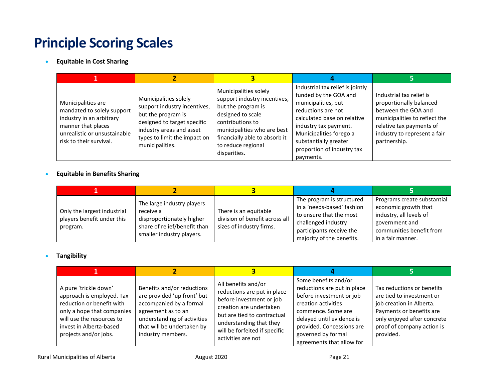# **Principle Scoring Scales**

• **Equitable in Cost Sharing**

| Municipalities are<br>mandated to solely support<br>industry in an arbitrary<br>manner that places<br>unrealistic or unsustainable<br>risk to their survival. | Municipalities solely<br>support industry incentives,<br>but the program is<br>designed to target specific<br>industry areas and asset<br>types to limit the impact on<br>municipalities. | Municipalities solely<br>support industry incentives,<br>but the program is<br>designed to scale<br>contributions to<br>municipalities who are best<br>financially able to absorb it<br>to reduce regional<br>disparities. | Industrial tax relief is jointly<br>funded by the GOA and<br>municipalities, but<br>reductions are not<br>calculated base on relative<br>industry tax payment.<br>Municipalities forego a<br>substantially greater<br>proportion of industry tax<br>payments. | Industrial tax relief is<br>proportionally balanced<br>between the GOA and<br>municipalities to reflect the<br>relative tax payments of<br>industry to represent a fair<br>partnership. |
|---------------------------------------------------------------------------------------------------------------------------------------------------------------|-------------------------------------------------------------------------------------------------------------------------------------------------------------------------------------------|----------------------------------------------------------------------------------------------------------------------------------------------------------------------------------------------------------------------------|---------------------------------------------------------------------------------------------------------------------------------------------------------------------------------------------------------------------------------------------------------------|-----------------------------------------------------------------------------------------------------------------------------------------------------------------------------------------|

#### • **Equitable in Benefits Sharing**

| Only the largest industrial<br>players benefit under this<br>program. | The large industry players<br>receive a<br>disproportionately higher<br>share of relief/benefit than<br>smaller industry players. | There is an equitable<br>division of benefit across all<br>sizes of industry firms. | The program is structured<br>in a 'needs-based' fashion<br>to ensure that the most<br>challenged industry<br>participants receive the<br>majority of the benefits. | Programs create substantial<br>economic growth that<br>industry, all levels of<br>government and<br>communities benefit from<br>in a fair manner. |
|-----------------------------------------------------------------------|-----------------------------------------------------------------------------------------------------------------------------------|-------------------------------------------------------------------------------------|--------------------------------------------------------------------------------------------------------------------------------------------------------------------|---------------------------------------------------------------------------------------------------------------------------------------------------|

#### • **Tangibility**

| A pure 'trickle down'<br>approach is employed. Tax<br>reduction or benefit with<br>only a hope that companies<br>will use the resources to<br>invest in Alberta-based<br>projects and/or jobs. | Benefits and/or reductions<br>are provided 'up front' but<br>accompanied by a formal<br>agreement as to an<br>understanding of activities<br>that will be undertaken by<br>industry members. | All benefits and/or<br>reductions are put in place<br>before investment or job<br>creation are undertaken<br>but are tied to contractual<br>understanding that they<br>will be forfeited if specific<br>activities are not | Some benefits and/or<br>reductions are put in place<br>before investment or job<br>creation activities<br>commence. Some are<br>delayed until evidence is<br>provided. Concessions are<br>governed by formal<br>agreements that allow for | Tax reductions or benefits<br>are tied to investment or<br>job creation in Alberta.<br>Payments or benefits are<br>only enjoyed after concrete<br>proof of company action is<br>provided. |
|------------------------------------------------------------------------------------------------------------------------------------------------------------------------------------------------|----------------------------------------------------------------------------------------------------------------------------------------------------------------------------------------------|----------------------------------------------------------------------------------------------------------------------------------------------------------------------------------------------------------------------------|-------------------------------------------------------------------------------------------------------------------------------------------------------------------------------------------------------------------------------------------|-------------------------------------------------------------------------------------------------------------------------------------------------------------------------------------------|